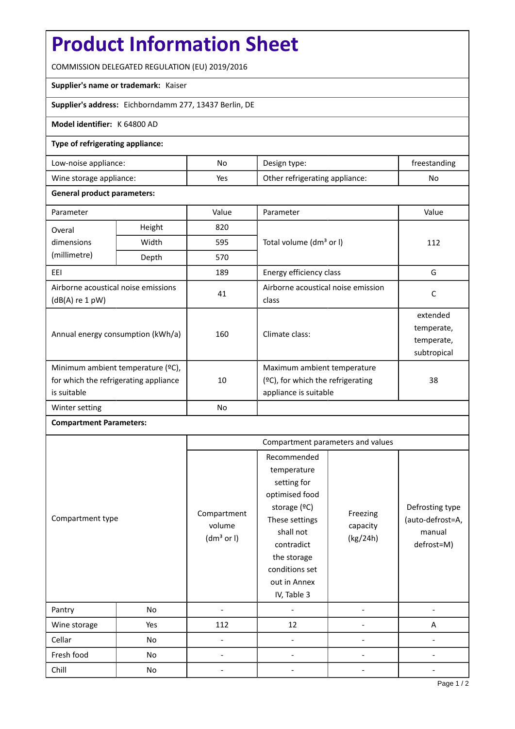# **Product Information Sheet**

COMMISSION DELEGATED REGULATION (EU) 2019/2016

### **Supplier's name or trademark:** Kaiser

**Supplier's address:** Eichborndamm 277, 13437 Berlin, DE

### **Model identifier:** K 64800 AD

### **Type of refrigerating appliance:**

| Low-noise appliance:    | No  | Design type:                   | freestanding |
|-------------------------|-----|--------------------------------|--------------|
| Wine storage appliance: | Yes | Other refrigerating appliance: | No           |

### **General product parameters:**

| Parameter                                                                                 |               | Value | Parameter                                                                                    | Value                                               |
|-------------------------------------------------------------------------------------------|---------------|-------|----------------------------------------------------------------------------------------------|-----------------------------------------------------|
| Overal                                                                                    | 820<br>Height |       |                                                                                              |                                                     |
| dimensions                                                                                | Width         | 595   | Total volume (dm <sup>3</sup> or I)                                                          | 112                                                 |
| (millimetre)                                                                              | Depth         | 570   |                                                                                              |                                                     |
| EEI                                                                                       |               | 189   | Energy efficiency class                                                                      | G                                                   |
| Airborne acoustical noise emissions<br>(dB(A) re 1 pW)                                    |               | 41    | Airborne acoustical noise emission<br>class                                                  | C                                                   |
| Annual energy consumption (kWh/a)                                                         |               | 160   | Climate class:                                                                               | extended<br>temperate,<br>temperate,<br>subtropical |
| Minimum ambient temperature (°C),<br>for which the refrigerating appliance<br>is suitable |               | 10    | Maximum ambient temperature<br>$(2C)$ , for which the refrigerating<br>appliance is suitable | 38                                                  |
| Winter setting                                                                            |               | No    |                                                                                              |                                                     |

## **Compartment Parameters:**

|                  |     | Compartment parameters and values               |                                                                                                                                                                                          |                                  |                                                             |
|------------------|-----|-------------------------------------------------|------------------------------------------------------------------------------------------------------------------------------------------------------------------------------------------|----------------------------------|-------------------------------------------------------------|
| Compartment type |     | Compartment<br>volume<br>(dm <sup>3</sup> or I) | Recommended<br>temperature<br>setting for<br>optimised food<br>storage (°C)<br>These settings<br>shall not<br>contradict<br>the storage<br>conditions set<br>out in Annex<br>IV, Table 3 | Freezing<br>capacity<br>(kg/24h) | Defrosting type<br>(auto-defrost=A,<br>manual<br>defrost=M) |
| Pantry           | No  |                                                 |                                                                                                                                                                                          |                                  |                                                             |
| Wine storage     | Yes | 112                                             | 12                                                                                                                                                                                       |                                  | A                                                           |
| Cellar           | No  |                                                 |                                                                                                                                                                                          |                                  |                                                             |
| Fresh food       | No  |                                                 |                                                                                                                                                                                          |                                  |                                                             |
| Chill            | No  |                                                 |                                                                                                                                                                                          |                                  |                                                             |